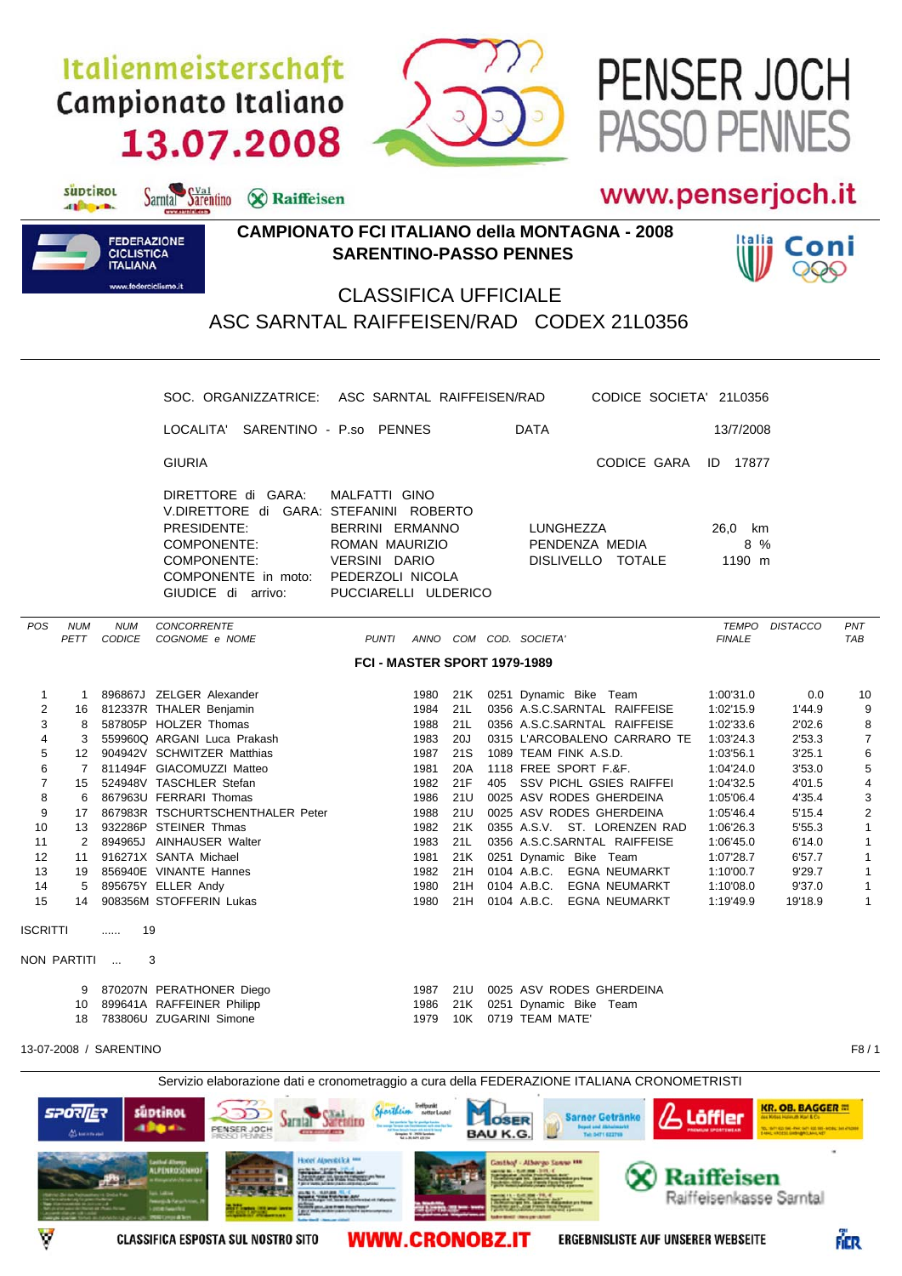## Italienmeisterschaft Campionato Italiano 13.07.2008

Sarntal Sarentino & Raiffeisen



## www.penserjoch.it

PASSO PENNES

PENSER JOCH



suptirol

different.

## **CAMPIONATO FCI ITALIANO della MONTAGNA - 2008 SARENTINO-PASSO PENNES**



## CLASSIFICA UFFICIALE ASC SARNTAL RAIFFEISEN/RAD CODEX 21L0356

|                                                                                                                                                                                     | SOC. ORGANIZZATRICE: ASC SARNTAL RAIFFEISEN/RAD                                                                                                                                                                                                                                                                                                                                                                                               |                                                                                                                                                                                                                      | CODICE SOCIETA' 21L0356                                                                                                                                                                                                                                                                                                                                                                                                                          |                                                                                                                                                                                                                                                                                                                                                     |                                                                                                                                                                               |
|-------------------------------------------------------------------------------------------------------------------------------------------------------------------------------------|-----------------------------------------------------------------------------------------------------------------------------------------------------------------------------------------------------------------------------------------------------------------------------------------------------------------------------------------------------------------------------------------------------------------------------------------------|----------------------------------------------------------------------------------------------------------------------------------------------------------------------------------------------------------------------|--------------------------------------------------------------------------------------------------------------------------------------------------------------------------------------------------------------------------------------------------------------------------------------------------------------------------------------------------------------------------------------------------------------------------------------------------|-----------------------------------------------------------------------------------------------------------------------------------------------------------------------------------------------------------------------------------------------------------------------------------------------------------------------------------------------------|-------------------------------------------------------------------------------------------------------------------------------------------------------------------------------|
|                                                                                                                                                                                     | LOCALITA' SARENTINO - P.so PENNES                                                                                                                                                                                                                                                                                                                                                                                                             |                                                                                                                                                                                                                      | <b>DATA</b>                                                                                                                                                                                                                                                                                                                                                                                                                                      | 13/7/2008                                                                                                                                                                                                                                                                                                                                           |                                                                                                                                                                               |
|                                                                                                                                                                                     | <b>GIURIA</b>                                                                                                                                                                                                                                                                                                                                                                                                                                 |                                                                                                                                                                                                                      | CODICE GARA                                                                                                                                                                                                                                                                                                                                                                                                                                      | <b>ID</b> 17877                                                                                                                                                                                                                                                                                                                                     |                                                                                                                                                                               |
|                                                                                                                                                                                     | DIRETTORE di GARA:<br>MALFATTI GINO<br>V.DIRETTORE di GARA: STEFANINI ROBERTO<br>PRESIDENTE:<br>BERRINI ERMANNO<br><b>COMPONENTE:</b><br>ROMAN MAURIZIO<br>VERSINI DARIO<br>COMPONENTE:<br>COMPONENTE in moto: PEDERZOLI NICOLA<br>GIUDICE di arrivo:                                                                                                                                                                                         | PUCCIARELLI ULDERICO                                                                                                                                                                                                 | LUNGHEZZA<br>PENDENZA MEDIA<br>DISLIVELLO TOTALE                                                                                                                                                                                                                                                                                                                                                                                                 | 26,0 km<br>8 %<br>1190 m                                                                                                                                                                                                                                                                                                                            |                                                                                                                                                                               |
| POS<br><b>NUM</b><br><b>NUM</b><br>PETT CODICE                                                                                                                                      | CONCORRENTE<br>COGNOME e NOME<br>PUNTI                                                                                                                                                                                                                                                                                                                                                                                                        |                                                                                                                                                                                                                      | ANNO COM COD. SOCIETA'                                                                                                                                                                                                                                                                                                                                                                                                                           | TEMPO DISTACCO<br><b>FINALE</b>                                                                                                                                                                                                                                                                                                                     | PNT<br><b>TAB</b>                                                                                                                                                             |
|                                                                                                                                                                                     |                                                                                                                                                                                                                                                                                                                                                                                                                                               | FCI - MASTER SPORT 1979-1989                                                                                                                                                                                         |                                                                                                                                                                                                                                                                                                                                                                                                                                                  |                                                                                                                                                                                                                                                                                                                                                     |                                                                                                                                                                               |
| $\mathbf{1}$<br>2<br>3<br>8<br>4<br>3<br>5<br>6<br>$\overline{7}$<br>8<br>9<br>17<br>10<br>11<br>$2^{\circ}$<br>12<br>11<br>13<br>14<br>5<br>15<br>14<br><b>ISCRITTI</b><br>19<br>. | 1 896867J ZELGER Alexander<br>16 812337R THALER Benjamin<br>587805P HOLZER Thomas<br>559960Q ARGANI Luca Prakash<br>12 904942V SCHWITZER Matthias<br>7 811494F GIACOMUZZI Matteo<br>15 524948V TASCHLER Stefan<br>6 867963U FERRARI Thomas<br>867983R TSCHURTSCHENTHALER Peter<br>13 932286P STEINER Thmas<br>894965J AINHAUSER Walter<br>916271X SANTA Michael<br>19 856940E VINANTE Hannes<br>895675Y ELLER Andy<br>908356M STOFFERIN Lukas | 1980 21K<br>21L<br>1984<br>21L<br>1988<br>20J<br>1983<br>21S<br>1987<br>20A<br>1981<br>21F<br>1982<br>21U<br>1986<br>21U<br>1988<br>1982 21K<br>1983<br>21L<br>1981<br>21K<br>1982 21H<br>21H<br>1980<br>1980<br>21H | 0251 Dynamic Bike Team<br>0356 A.S.C.SARNTAL RAIFFEISE<br>0356 A.S.C.SARNTAL RAIFFEISE<br>0315 L'ARCOBALENO CARRARO TE<br>1089 TEAM FINK A.S.D.<br>1118 FREE SPORT F.&F.<br>405 SSV PICHL GSIES RAIFFEI<br>0025 ASV RODES GHERDEINA<br>0025 ASV RODES GHERDEINA<br>0355 A.S.V. ST. LORENZEN RAD<br>0356 A.S.C.SARNTAL RAIFFEISE<br>0251 Dynamic Bike Team<br>0104 A.B.C. EGNA NEUMARKT<br>0104 A.B.C. EGNA NEUMARKT<br>0104 A.B.C. EGNA NEUMARKT | 1:00'31.0<br>0.0<br>1:02'15.9<br>1'44.9<br>1:02'33.6<br>2'02.6<br>1:03'24.3<br>2'53.3<br>1:03'56.1<br>3'25.1<br>1:04'24.0<br>3'53.0<br>1:04'32.5<br>4'01.5<br>1:05'06.4<br>4'35.4<br>1:05'46.4<br>5'15.4<br>1:06'26.3<br>5'55.3<br>6'14.0<br>1:06'45.0<br>1:07'28.7<br>6'57.7<br>9'29.7<br>1:10'00.7<br>9'37.0<br>1:10'08.0<br>19'18.9<br>1:19'49.9 | 10<br>9<br>8<br>$\overline{7}$<br>6<br>5<br>4<br>3<br>$\overline{\mathbf{c}}$<br>$\mathbf{1}$<br>$\mathbf{1}$<br>$\mathbf{1}$<br>$\mathbf{1}$<br>$\mathbf{1}$<br>$\mathbf{1}$ |
| NON PARTITI                                                                                                                                                                         | 3                                                                                                                                                                                                                                                                                                                                                                                                                                             |                                                                                                                                                                                                                      |                                                                                                                                                                                                                                                                                                                                                                                                                                                  |                                                                                                                                                                                                                                                                                                                                                     |                                                                                                                                                                               |
| 10                                                                                                                                                                                  | 9 870207N PERATHONER Diego<br>899641A RAFFEINER Philipp<br>18 783806U ZUGARINI Simone                                                                                                                                                                                                                                                                                                                                                         | 21U<br>1987<br>1986<br>21K<br>1979<br>10K                                                                                                                                                                            | 0025 ASV RODES GHERDEINA<br>0251 Dynamic Bike Team<br>0719 TEAM MATE'                                                                                                                                                                                                                                                                                                                                                                            |                                                                                                                                                                                                                                                                                                                                                     |                                                                                                                                                                               |
| 13-07-2008 / SARENTINO                                                                                                                                                              |                                                                                                                                                                                                                                                                                                                                                                                                                                               |                                                                                                                                                                                                                      |                                                                                                                                                                                                                                                                                                                                                                                                                                                  |                                                                                                                                                                                                                                                                                                                                                     | F8/1                                                                                                                                                                          |
| <b>SPORIER</b><br><b>AL back to app</b>                                                                                                                                             | Servizio elaborazione dati e cronometraggio a cura della FEDERAZIONE ITALIANA CRONOMETRISTI<br>süptikot<br>мик<br><b>JE CHILD</b><br>alla da<br>PENSER JOCH<br><b>CONTRACTOR</b><br>FASSO PENNES<br><b>Hocel Alpenblick MM</b><br><b><i><i><u><b>Gerthul Albergo</b></u></i></i><br/>ALPENROSENHOF</b><br><b><i><u>Change</u></i></b> Change                                                                                                  | Treffpunk<br>netter Leute                                                                                                                                                                                            | <b>Sarner Getränke</b><br><b>LOSER</b><br><b>BAU K.G</b><br>Tel: 0471 622769<br>Gosthof - Athergo Sanne ***                                                                                                                                                                                                                                                                                                                                      | <b>KR. OB. BAGGER #</b><br>Löffler<br>des Kobss Hatimuth Karl & Co<br>$\infty$ Raiffeisen                                                                                                                                                                                                                                                           |                                                                                                                                                                               |

**WWW.CRONOBZ.IT** 





es vien trailer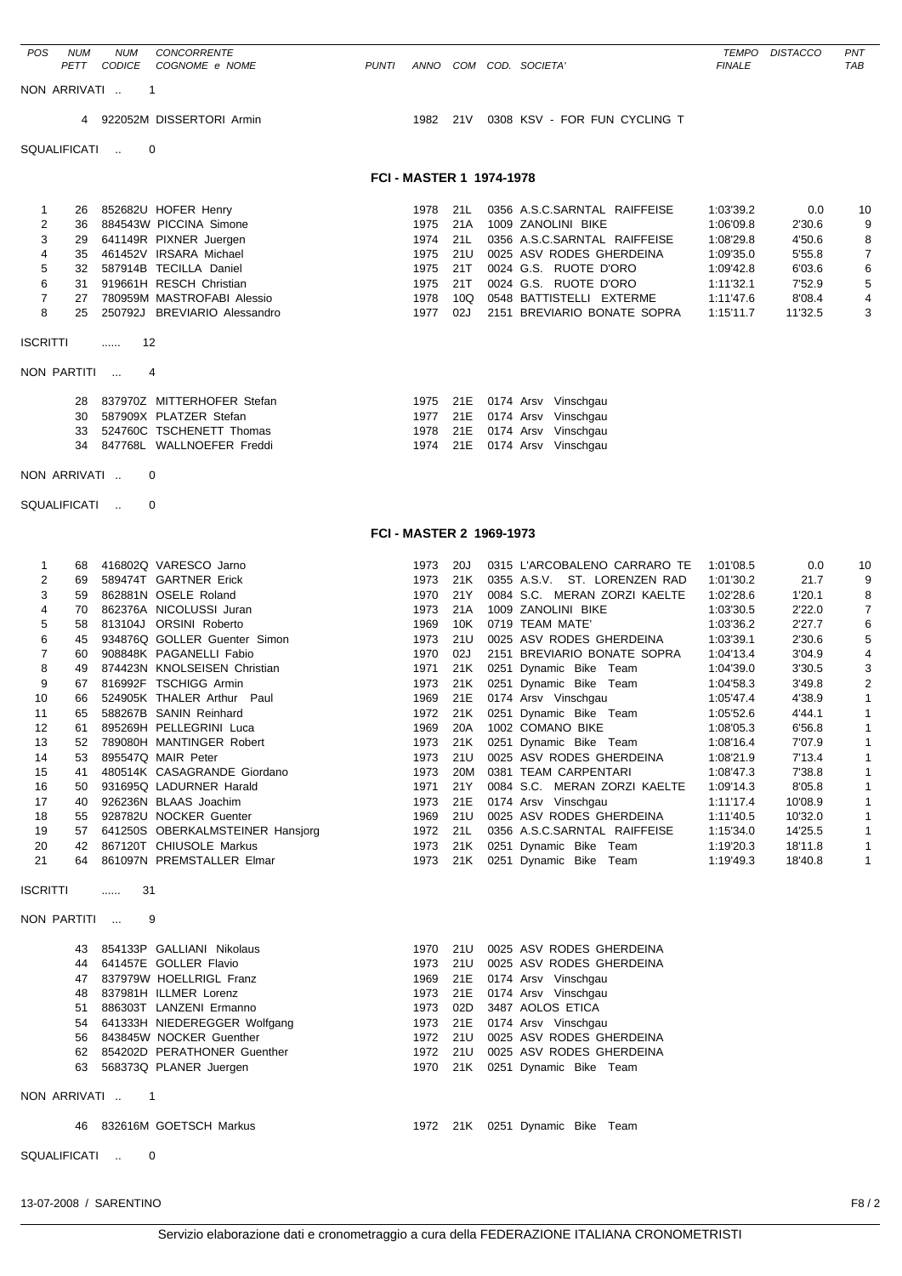| <b>POS</b>          | <b>NUM</b>   | <b>NUM</b>    | <b>CONCORRENTE</b>                                          |              |                                 |                 |                                                              |                        | TEMPO DISTACCO     | PNT                            |
|---------------------|--------------|---------------|-------------------------------------------------------------|--------------|---------------------------------|-----------------|--------------------------------------------------------------|------------------------|--------------------|--------------------------------|
|                     | PETT         | <b>CODICE</b> | COGNOME e NOME                                              | <b>PUNTI</b> |                                 |                 | ANNO COM COD. SOCIETA'                                       | <b>FINALE</b>          |                    | <b>TAB</b>                     |
|                     | NON ARRIVATI |               | -1                                                          |              |                                 |                 |                                                              |                        |                    |                                |
|                     | 4            |               | 922052M DISSERTORI Armin                                    |              | 1982 21V                        |                 | 0308 KSV - FOR FUN CYCLING T                                 |                        |                    |                                |
|                     | SQUALIFICATI | $\sim$        | 0                                                           |              |                                 |                 |                                                              |                        |                    |                                |
|                     |              |               |                                                             |              | FCI - MASTER 1 1974-1978        |                 |                                                              |                        |                    |                                |
|                     |              |               |                                                             |              |                                 |                 |                                                              |                        |                    |                                |
| 1<br>2              | 26<br>36     |               | 852682U HOFER Henry<br>884543W PICCINA Simone               |              | 1978<br>1975                    | 21L<br>21A      | 0356 A.S.C.SARNTAL RAIFFEISE<br>1009 ZANOLINI BIKE           | 1:03'39.2<br>1:06'09.8 | 0.0<br>2'30.6      | 10<br>9                        |
| 3                   | 29           |               | 641149R PIXNER Juergen                                      |              | 1974                            | 21L             | 0356 A.S.C.SARNTAL RAIFFEISE                                 | 1:08'29.8              | 4'50.6             | 8                              |
| 4<br>5              | 35<br>32     |               | 461452V IRSARA Michael<br>587914B TECILLA Daniel            |              | 1975<br>1975                    | 21U<br>21T      | 0025 ASV RODES GHERDEINA<br>0024 G.S. RUOTE D'ORO            | 1:09'35.0<br>1:09'42.8 | 5'55.8<br>6'03.6   | 7<br>6                         |
| 6                   | 31           |               | 919661H RESCH Christian                                     |              | 1975                            | 21T             | 0024 G.S. RUOTE D'ORO                                        | 1:11'32.1              | 7'52.9             | 5                              |
| $\overline{7}$      | 27           |               | 780959M MASTROFABI Alessio                                  |              | 1978                            | 10Q             | 0548 BATTISTELLI EXTERME                                     | 1:11'47.6              | 8'08.4             | 4                              |
| 8                   | 25           |               | 250792J BREVIARIO Alessandro                                |              | 1977                            | 02J             | 2151 BREVIARIO BONATE SOPRA                                  | 1:15'11.7              | 11'32.5            | 3                              |
| <b>ISCRITTI</b>     |              | 12<br>.       |                                                             |              |                                 |                 |                                                              |                        |                    |                                |
|                     | NON PARTITI  |               | 4                                                           |              |                                 |                 |                                                              |                        |                    |                                |
|                     | 28           |               | 837970Z MITTERHOFER Stefan                                  |              |                                 |                 | 1975 21E 0174 Arsv Vinschgau                                 |                        |                    |                                |
|                     | 30           |               | 587909X PLATZER Stefan                                      |              | 1977                            |                 | 21E 0174 Arsv Vinschgau                                      |                        |                    |                                |
|                     | 33<br>34     |               | 524760C TSCHENETT Thomas<br>847768L WALLNOEFER Freddi       |              | 1978<br>1974                    | 21E<br>21E      | 0174 Arsv Vinschgau<br>0174 Arsv Vinschgau                   |                        |                    |                                |
|                     | NON ARRIVATI |               | 0                                                           |              |                                 |                 |                                                              |                        |                    |                                |
|                     |              |               |                                                             |              |                                 |                 |                                                              |                        |                    |                                |
|                     | SQUALIFICATI | $\sim$        | 0                                                           |              |                                 |                 |                                                              |                        |                    |                                |
|                     |              |               |                                                             |              | <b>FCI - MASTER 2 1969-1973</b> |                 |                                                              |                        |                    |                                |
| 1                   | 68           |               | 416802Q VARESCO Jarno                                       |              | 1973                            | 20J             | 0315 L'ARCOBALENO CARRARO TE                                 | 1:01'08.5              | 0.0                | 10                             |
| $\overline{2}$<br>3 | 69<br>59     |               | 589474T GARTNER Erick<br>862881N OSELE Roland               |              | 1973<br>1970                    | 21K<br>21Y      | 0355 A.S.V. ST. LORENZEN RAD<br>0084 S.C. MERAN ZORZI KAELTE | 1:01'30.2<br>1:02'28.6 | 21.7<br>1'20.1     | 9                              |
| 4                   | 70           |               | 862376A NICOLUSSI Juran                                     |              | 1973                            | 21A             | 1009 ZANOLINI BIKE                                           | 1:03'30.5              | 2'22.0             | 8<br>7                         |
| 5                   | 58           |               | 813104J ORSINI Roberto                                      |              | 1969                            | 10K             | 0719 TEAM MATE'                                              | 1:03'36.2              | 2'27.7             | 6                              |
| 6<br>7              | 45<br>60     |               | 934876Q GOLLER Guenter Simon<br>908848K PAGANELLI Fabio     |              | 1973<br>1970                    | 21U<br>02J      | 0025 ASV RODES GHERDEINA<br>2151 BREVIARIO BONATE SOPRA      | 1:03'39.1<br>1:04'13.4 | 2'30.6<br>3'04.9   | 5<br>4                         |
| 8                   | 49           |               | 874423N KNOLSEISEN Christian                                |              | 1971                            | 21K             | 0251 Dynamic Bike Team                                       | 1:04'39.0              | 3'30.5             | 3                              |
| 9<br>10             | 67<br>66     |               | 816992F TSCHIGG Armin<br>524905K THALER Arthur Paul         |              | 1973<br>1969                    | 21K             | 0251 Dynamic Bike Team<br>21E 0174 Arsv Vinschgau            | 1:04'58.3<br>1:05'47.4 | 3'49.8<br>4'38.9   | $\overline{2}$<br>$\mathbf{1}$ |
| 11                  | 65           |               | 588267B SANIN Reinhard                                      |              |                                 |                 | 1972 21K 0251 Dynamic Bike Team                              | 1:05'52.6              | 4'44.1             | $\mathbf{1}$                   |
| 12                  | 61           |               | 895269H PELLEGRINI Luca                                     |              | 1969                            | 20A             | 1002 COMANO BIKE                                             | 1:08'05.3              | 6'56.8             | $\mathbf{1}$                   |
| 13<br>14            | 53           |               | 52 789080H MANTINGER Robert<br>895547Q MAIR Peter           |              | 1973<br>1973                    | 21K<br>21U      | 0251 Dynamic Bike Team<br>0025 ASV RODES GHERDEINA           | 1:08'16.4<br>1:08'21.9 | 7'07.9<br>7'13.4   | $\mathbf{1}$<br>$\mathbf{1}$   |
| 15                  | 41           |               | 480514K CASAGRANDE Giordano                                 |              | 1973                            | 20M             | 0381 TEAM CARPENTARI                                         | 1:08'47.3              | 7'38.8             | $\mathbf{1}$                   |
| 16<br>17            | 50           |               | 931695Q LADURNER Harald<br>926236N BLAAS Joachim            |              | 1971                            | 21Y<br>21E      | 0084 S.C. MERAN ZORZI KAELTE<br>0174 Arsv Vinschgau          | 1:09'14.3              | 8'05.8             | $\mathbf{1}$                   |
| 18                  | 40<br>55     |               | 928782U NOCKER Guenter                                      |              | 1973<br>1969                    | 21U             | 0025 ASV RODES GHERDEINA                                     | 1:11'17.4<br>1:11'40.5 | 10'08.9<br>10'32.0 | $\mathbf{1}$<br>$\mathbf{1}$   |
| 19                  | 57           |               | 641250S OBERKALMSTEINER Hansjorg                            |              |                                 | 1972 21L        | 0356 A.S.C.SARNTAL RAIFFEISE                                 | 1:15'34.0              | 14'25.5            | $\mathbf{1}$                   |
| 20<br>21            | 42<br>64     |               | 867120T CHIUSOLE Markus<br>861097N PREMSTALLER Elmar        |              | 1973<br>1973                    | 21K             | 0251 Dynamic Bike Team<br>21K 0251 Dynamic Bike Team         | 1:19'20.3<br>1:19'49.3 | 18'11.8<br>18'40.8 | $\mathbf{1}$<br>$\mathbf{1}$   |
| <b>ISCRITTI</b>     |              | 31<br>.       |                                                             |              |                                 |                 |                                                              |                        |                    |                                |
|                     | NON PARTITI  |               | 9                                                           |              |                                 |                 |                                                              |                        |                    |                                |
|                     |              |               |                                                             |              |                                 |                 |                                                              |                        |                    |                                |
|                     | 44           |               | 43 854133P GALLIANI Nikolaus<br>641457E GOLLER Flavio       |              | 1973                            | 1970 21U        | 0025 ASV RODES GHERDEINA<br>21U 0025 ASV RODES GHERDEINA     |                        |                    |                                |
|                     |              |               | 47 837979W HOELLRIGL Franz                                  |              | 1969                            |                 | 21E 0174 Arsv Vinschgau                                      |                        |                    |                                |
|                     | 48           |               | 837981H ILLMER Lorenz                                       |              | 1973<br>1973                    | 21E             | 0174 Arsv Vinschgau                                          |                        |                    |                                |
|                     | 51<br>54     |               | 886303T LANZENI Ermanno<br>641333H NIEDEREGGER Wolfgang     |              | 1973                            | 02D<br>21E      | 3487 AOLOS ETICA<br>0174 Arsv Vinschgau                      |                        |                    |                                |
|                     | 56           |               | 843845W NOCKER Guenther                                     |              | 1972                            | 21U             | 0025 ASV RODES GHERDEINA                                     |                        |                    |                                |
|                     |              |               | 62 854202D PERATHONER Guenther<br>63 568373Q PLANER Juergen |              | 1972                            | 21U<br>1970 21K | 0025 ASV RODES GHERDEINA<br>0251 Dynamic Bike Team           |                        |                    |                                |
|                     |              |               |                                                             |              |                                 |                 |                                                              |                        |                    |                                |
|                     | NON ARRIVATI |               | $\mathbf{1}$                                                |              |                                 |                 |                                                              |                        |                    |                                |

46 832616M GOETSCH Markus 1972 21K 0251 Dynamic Bike Team

SQUALIFICATI .. 0

13-07-2008 / SARENTINO F8 / 2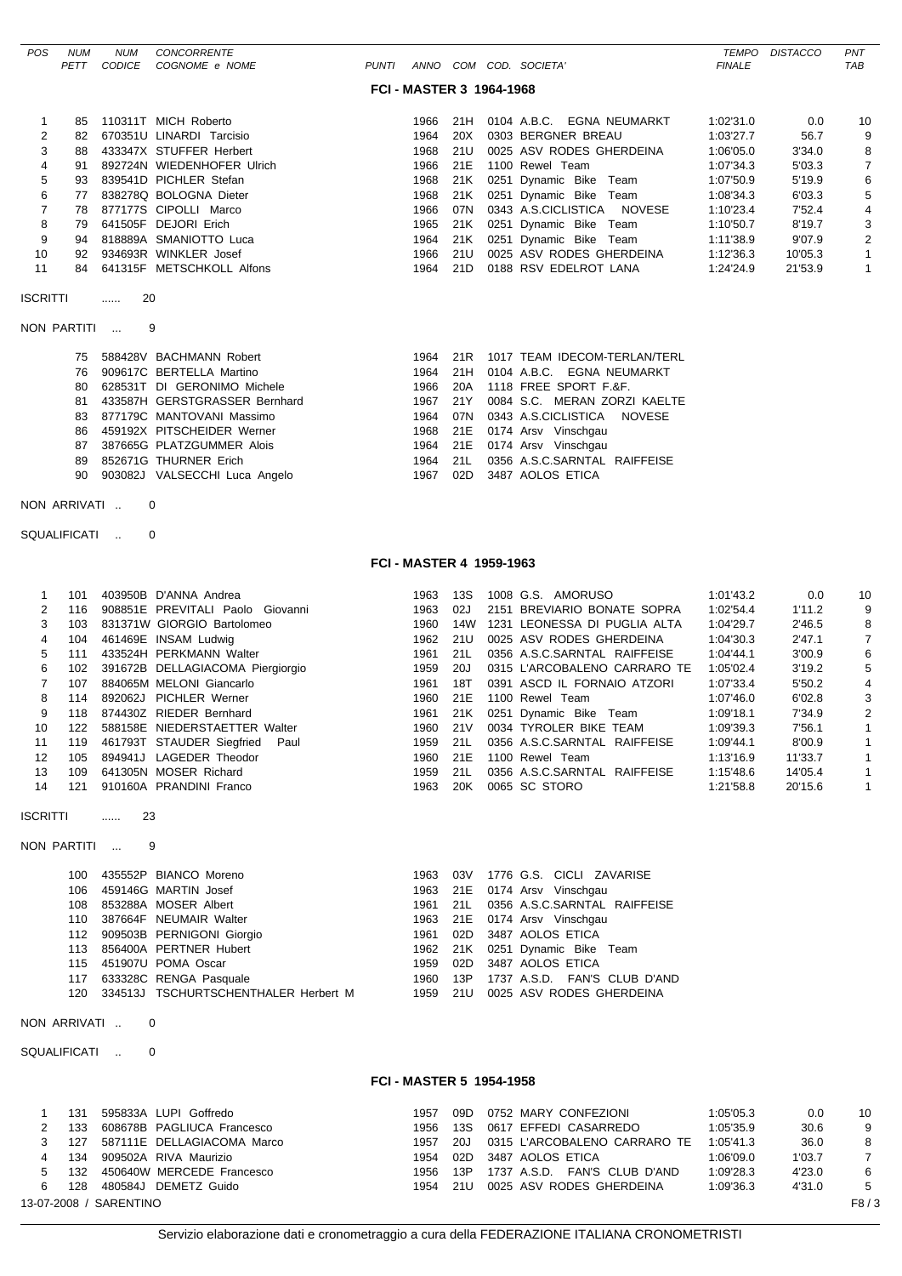| POS                                                                                                                        | <b>NUM</b><br>PETT                                                                                             | <b>NUM</b><br><b>CODICE</b> | CONCORRENTE<br>COGNOME e NOME                                                                                                                                                                                                                                                                                                                                                                                                                                                                                                               | <b>PUNTI</b> |                                                                                                                                                      |                                                                                                                                   | ANNO COM COD. SOCIETA'                                                                                                                                                                                                                                                                                                                                                                                                                                                                                                         | <b>TEMPO</b><br><b>FINALE</b>                                                                                                                                                      | <b>DISTACCO</b>                                                                                                                          | PNT<br><b>TAB</b>                                                                                                            |
|----------------------------------------------------------------------------------------------------------------------------|----------------------------------------------------------------------------------------------------------------|-----------------------------|---------------------------------------------------------------------------------------------------------------------------------------------------------------------------------------------------------------------------------------------------------------------------------------------------------------------------------------------------------------------------------------------------------------------------------------------------------------------------------------------------------------------------------------------|--------------|------------------------------------------------------------------------------------------------------------------------------------------------------|-----------------------------------------------------------------------------------------------------------------------------------|--------------------------------------------------------------------------------------------------------------------------------------------------------------------------------------------------------------------------------------------------------------------------------------------------------------------------------------------------------------------------------------------------------------------------------------------------------------------------------------------------------------------------------|------------------------------------------------------------------------------------------------------------------------------------------------------------------------------------|------------------------------------------------------------------------------------------------------------------------------------------|------------------------------------------------------------------------------------------------------------------------------|
|                                                                                                                            |                                                                                                                |                             |                                                                                                                                                                                                                                                                                                                                                                                                                                                                                                                                             |              | <b>FCI - MASTER 3 1964-1968</b>                                                                                                                      |                                                                                                                                   |                                                                                                                                                                                                                                                                                                                                                                                                                                                                                                                                |                                                                                                                                                                                    |                                                                                                                                          |                                                                                                                              |
| 1<br>$\overline{\mathbf{c}}$<br>3<br>4<br>5<br>6<br>$\overline{7}$<br>8<br>9<br>10<br>11<br><b>ISCRITTI</b><br>NON PARTITI | 85<br>82<br>88<br>91<br>93<br>77<br>78<br>79<br>94<br>92<br>84<br>75<br>76<br>80<br>81<br>83<br>86<br>87<br>89 | 20<br>.                     | 110311T MICH Roberto<br>670351U LINARDI Tarcisio<br>433347X STUFFER Herbert<br>892724N WIEDENHOFER Ulrich<br>839541D PICHLER Stefan<br>838278Q BOLOGNA Dieter<br>877177S CIPOLLI Marco<br>641505F DEJORI Erich<br>818889A SMANIOTTO Luca<br>934693R WINKLER Josef<br>641315F METSCHKOLL Alfons<br>9<br>588428V BACHMANN Robert<br>909617C BERTELLA Martino<br>628531T DI GERONIMO Michele<br>433587H GERSTGRASSER Bernhard<br>877179C MANTOVANI Massimo<br>459192X PITSCHEIDER Werner<br>387665G PLATZGUMMER Alois<br>852671G THURNER Erich |              | 1966<br>1964<br>1968<br>1966<br>1968<br>1968<br>1966<br>1965<br>1964<br>1966<br>1964<br>1964<br>1964<br>1966<br>1967<br>1964<br>1968<br>1964<br>1964 | 21H<br>20X<br>21U<br>21E<br>21K<br>21K<br>07N<br>21K<br>21K<br>21U<br>21D<br>21R<br>21H<br>20A<br>21Y<br>07N<br>21E<br>21E<br>21L | 0104 A.B.C. EGNA NEUMARKT<br>0303 BERGNER BREAU<br>0025 ASV RODES GHERDEINA<br>1100 Rewel Team<br>0251 Dynamic Bike Team<br>0251 Dynamic Bike Team<br>0343 A.S.CICLISTICA NOVESE<br>0251 Dynamic Bike Team<br>0251 Dynamic Bike Team<br>0025 ASV RODES GHERDEINA<br>0188 RSV EDELROT LANA<br>1017 TEAM IDECOM-TERLAN/TERL<br>0104 A.B.C. EGNA NEUMARKT<br>1118 FREE SPORT F.&F.<br>0084 S.C. MERAN ZORZI KAELTE<br>0343 A.S.CICLISTICA<br>NOVESE<br>0174 Arsv Vinschgau<br>0174 Arsv Vinschgau<br>0356 A.S.C.SARNTAL RAIFFEISE | 1:02'31.0<br>1:03'27.7<br>1:06'05.0<br>1:07'34.3<br>1:07'50.9<br>1:08'34.3<br>1:10'23.4<br>1:10'50.7<br>1:11'38.9<br>1:12'36.3<br>1:24'24.9                                        | 0.0<br>56.7<br>3'34.0<br>5'03.3<br>5'19.9<br>6'03.3<br>7'52.4<br>8'19.7<br>9'07.9<br>10'05.3<br>21'53.9                                  | 10<br>9<br>8<br>$\overline{7}$<br>6<br>5<br>4<br>3<br>$\overline{2}$<br>$\mathbf{1}$<br>$\mathbf{1}$                         |
|                                                                                                                            | 90                                                                                                             |                             | 903082J VALSECCHI Luca Angelo                                                                                                                                                                                                                                                                                                                                                                                                                                                                                                               |              | 1967                                                                                                                                                 | 02D                                                                                                                               | 3487 AOLOS ETICA                                                                                                                                                                                                                                                                                                                                                                                                                                                                                                               |                                                                                                                                                                                    |                                                                                                                                          |                                                                                                                              |
| NON ARRIVATI                                                                                                               |                                                                                                                |                             | 0                                                                                                                                                                                                                                                                                                                                                                                                                                                                                                                                           |              |                                                                                                                                                      |                                                                                                                                   |                                                                                                                                                                                                                                                                                                                                                                                                                                                                                                                                |                                                                                                                                                                                    |                                                                                                                                          |                                                                                                                              |
| SQUALIFICATI                                                                                                               |                                                                                                                | $\sim$                      | $\mathbf 0$                                                                                                                                                                                                                                                                                                                                                                                                                                                                                                                                 |              |                                                                                                                                                      |                                                                                                                                   |                                                                                                                                                                                                                                                                                                                                                                                                                                                                                                                                |                                                                                                                                                                                    |                                                                                                                                          |                                                                                                                              |
|                                                                                                                            |                                                                                                                |                             |                                                                                                                                                                                                                                                                                                                                                                                                                                                                                                                                             |              | FCI - MASTER 4 1959-1963                                                                                                                             |                                                                                                                                   |                                                                                                                                                                                                                                                                                                                                                                                                                                                                                                                                |                                                                                                                                                                                    |                                                                                                                                          |                                                                                                                              |
| $\mathbf{1}$<br>2<br>3<br>4<br>5<br>6<br>7<br>8<br>9<br>10<br>11<br>12<br>13<br>14                                         | 101<br>116<br>103<br>104<br>111<br>102<br>107<br>114<br>118<br>122<br>119<br>105<br>109<br>121                 |                             | 403950B D'ANNA Andrea<br>908851E PREVITALI Paolo Giovanni<br>831371W GIORGIO Bartolomeo<br>461469E INSAM Ludwig<br>433524H PERKMANN Walter<br>391672B DELLAGIACOMA Piergiorgio<br>884065M MELONI Giancarlo<br>892062J PICHLER Werner<br>874430Z RIEDER Bernhard<br>588158E NIEDERSTAETTER Walter<br>461793T STAUDER Siegfried<br>Paul<br>894941J LAGEDER Theodor<br>641305N MOSER Richard<br>910160A PRANDINI Franco                                                                                                                        |              | 1963<br>1963<br>1960<br>1962<br>1961<br>1959<br>1961<br>1960<br>1961<br>1960<br>1959<br>1960<br>1959<br>1963                                         | 13S<br>02J<br>14W<br>21U<br>21L<br>20J<br>18T<br>21E<br>21K<br>21 V<br>21L<br>21E<br>21L<br>20K                                   | 1008 G.S. AMORUSO<br>2151 BREVIARIO BONATE SOPRA<br>1231 LEONESSA DI PUGLIA ALTA<br>0025 ASV RODES GHERDEINA<br>0356 A.S.C.SARNTAL RAIFFEISE<br>0315 L'ARCOBALENO CARRARO TE<br>0391 ASCD IL FORNAIO ATZORI<br>1100 Rewel Team<br>0251 Dynamic Bike Team<br>0034 TYROLER BIKE TEAM<br>0356 A.S.C.SARNTAL RAIFFEISE<br>1100 Rewel Team<br>0356 A.S.C.SARNTAL RAIFFEISE<br>0065 SC STORO                                                                                                                                         | 1:01'43.2<br>1:02'54.4<br>1:04'29.7<br>1:04'30.3<br>1:04'44.1<br>1:05'02.4<br>1:07'33.4<br>1:07'46.0<br>1:09'18.1<br>1:09'39.3<br>1:09'44.1<br>1:13'16.9<br>1:15'48.6<br>1:21'58.8 | 0.0<br>1'11.2<br>2'46.5<br>2'47.1<br>3'00.9<br>3'19.2<br>5'50.2<br>6'02.8<br>7'34.9<br>7'56.1<br>8'00.9<br>11'33.7<br>14'05.4<br>20'15.6 | 10<br>9<br>8<br>$\overline{7}$<br>6<br>5<br>4<br>3<br>2<br>1<br>$\mathbf{1}$<br>$\mathbf{1}$<br>$\mathbf{1}$<br>$\mathbf{1}$ |
| <b>ISCRITTI</b>                                                                                                            |                                                                                                                | 23<br>$\cdots$              |                                                                                                                                                                                                                                                                                                                                                                                                                                                                                                                                             |              |                                                                                                                                                      |                                                                                                                                   |                                                                                                                                                                                                                                                                                                                                                                                                                                                                                                                                |                                                                                                                                                                                    |                                                                                                                                          |                                                                                                                              |
| NON PARTITI                                                                                                                | 108<br>110<br>120                                                                                              |                             | 9<br>100 435552P BIANCO Moreno<br>106 459146G MARTIN Josef<br>853288A MOSER Albert<br>387664F NEUMAIR Walter<br>112 909503B PERNIGONI Giorgio<br>113 856400A PERTNER Hubert<br>115 451907U POMA Oscar<br>117 633328C RENGA Pasquale<br>334513J TSCHURTSCHENTHALER Herbert M                                                                                                                                                                                                                                                                 |              | 1963<br>1963<br>1961<br>1963<br>1961<br>1962<br>1959<br>1960<br>1959                                                                                 | 03V<br>21E<br>21L<br>21E<br>02D<br>21K<br>02D<br>13P<br>21U                                                                       | 1776 G.S. CICLI ZAVARISE<br>0174 Arsv Vinschgau<br>0356 A.S.C.SARNTAL RAIFFEISE<br>0174 Arsv Vinschgau<br>3487 AOLOS ETICA<br>0251 Dynamic Bike Team<br>3487 AOLOS ETICA<br>1737 A.S.D. FAN'S CLUB D'AND<br>0025 ASV RODES GHERDEINA                                                                                                                                                                                                                                                                                           |                                                                                                                                                                                    |                                                                                                                                          |                                                                                                                              |
| NON ARRIVATI                                                                                                               |                                                                                                                |                             | 0                                                                                                                                                                                                                                                                                                                                                                                                                                                                                                                                           |              |                                                                                                                                                      |                                                                                                                                   |                                                                                                                                                                                                                                                                                                                                                                                                                                                                                                                                |                                                                                                                                                                                    |                                                                                                                                          |                                                                                                                              |
| SQUALIFICATI                                                                                                               |                                                                                                                |                             | $\mathbf 0$                                                                                                                                                                                                                                                                                                                                                                                                                                                                                                                                 |              |                                                                                                                                                      |                                                                                                                                   |                                                                                                                                                                                                                                                                                                                                                                                                                                                                                                                                |                                                                                                                                                                                    |                                                                                                                                          |                                                                                                                              |
| $\mathbf{1}$<br>2<br>3<br>4<br>5<br>6                                                                                      | 131<br>133<br>127<br>134<br>132<br>128                                                                         | 13-07-2008 / SARENTINO      | 595833A LUPI Goffredo<br>608678B PAGLIUCA Francesco<br>587111E DELLAGIACOMA Marco<br>909502A RIVA Maurizio<br>450640W MERCEDE Francesco<br>480584J DEMETZ Guido                                                                                                                                                                                                                                                                                                                                                                             |              | <b>FCI - MASTER 5 1954-1958</b><br>1957<br>1956<br>1957<br>1954<br>1956<br>1954                                                                      | 09D<br>13S<br>20J<br>02D<br>13P<br>21U                                                                                            | 0752 MARY CONFEZIONI<br>0617 EFFEDI CASARREDO<br>0315 L'ARCOBALENO CARRARO TE<br>3487 AOLOS ETICA<br>1737 A.S.D. FAN'S CLUB D'AND<br>0025 ASV RODES GHERDEINA                                                                                                                                                                                                                                                                                                                                                                  | 1:05'05.3<br>1:05'35.9<br>1:05'41.3<br>1:06'09.0<br>1:09'28.3<br>1:09'36.3                                                                                                         | 0.0<br>30.6<br>36.0<br>1'03.7<br>4'23.0<br>4'31.0                                                                                        | 10<br>9<br>8<br>$\overline{7}$<br>6<br>5<br>F8/3                                                                             |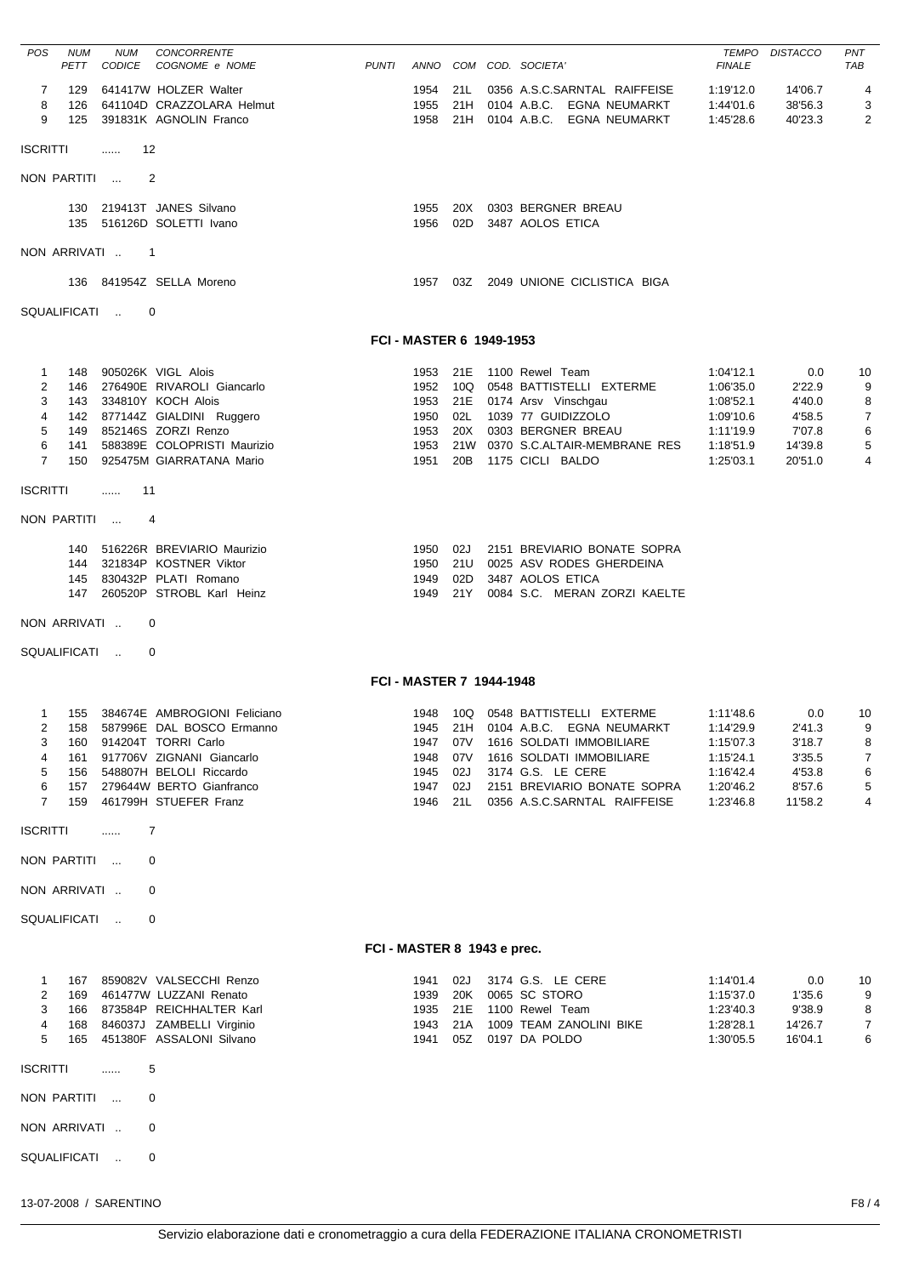| POS                                                                          | NUM<br>PETT                     | NUM<br>CODICE   | <b>CONCORRENTE</b><br>COGNOME e NOME                                                                                                                                                                                      | <b>PUNTI</b>                |                                              |                          | ANNO COM COD. SOCIETA'                                                                                                                                                                                                  | <b>FINALE</b>                                                                           | <b>TEMPO DISTACCO</b>                                             | PNT<br>TAB                                                  |
|------------------------------------------------------------------------------|---------------------------------|-----------------|---------------------------------------------------------------------------------------------------------------------------------------------------------------------------------------------------------------------------|-----------------------------|----------------------------------------------|--------------------------|-------------------------------------------------------------------------------------------------------------------------------------------------------------------------------------------------------------------------|-----------------------------------------------------------------------------------------|-------------------------------------------------------------------|-------------------------------------------------------------|
| 7<br>8<br>9                                                                  | 129<br>126<br>125               |                 | 641417W HOLZER Walter<br>641104D CRAZZOLARA Helmut<br>391831K AGNOLIN Franco                                                                                                                                              |                             | 1954<br>1955<br>1958                         | 21L<br>21H               | 0356 A.S.C.SARNTAL RAIFFEISE<br>0104 A.B.C. EGNA NEUMARKT<br>21H 0104 A.B.C. EGNA NEUMARKT                                                                                                                              | 1:19'12.0<br>1:44'01.6<br>1:45'28.6                                                     | 14'06.7<br>38'56.3<br>40'23.3                                     | 4<br>3<br>2                                                 |
| <b>ISCRITTI</b>                                                              |                                 | - 12<br><b></b> |                                                                                                                                                                                                                           |                             |                                              |                          |                                                                                                                                                                                                                         |                                                                                         |                                                                   |                                                             |
| NON PARTITI                                                                  |                                 |                 | $\overline{2}$                                                                                                                                                                                                            |                             |                                              |                          |                                                                                                                                                                                                                         |                                                                                         |                                                                   |                                                             |
|                                                                              |                                 |                 | 130 219413T JANES Silvano<br>135 516126D SOLETTI Ivano                                                                                                                                                                    |                             | 1955<br>1956                                 | 20X<br>02D               | 0303 BERGNER BREAU<br>3487 AOLOS ETICA                                                                                                                                                                                  |                                                                                         |                                                                   |                                                             |
| NON ARRIVATI                                                                 |                                 | $\overline{1}$  |                                                                                                                                                                                                                           |                             |                                              |                          |                                                                                                                                                                                                                         |                                                                                         |                                                                   |                                                             |
|                                                                              |                                 |                 | 136 841954Z SELLA Moreno                                                                                                                                                                                                  |                             |                                              |                          | 1957 03Z 2049 UNIONE CICLISTICA BIGA                                                                                                                                                                                    |                                                                                         |                                                                   |                                                             |
|                                                                              |                                 | SQUALIFICATI    | $\Omega$                                                                                                                                                                                                                  |                             |                                              |                          |                                                                                                                                                                                                                         |                                                                                         |                                                                   |                                                             |
|                                                                              |                                 |                 |                                                                                                                                                                                                                           |                             | FCI - MASTER 6 1949-1953                     |                          |                                                                                                                                                                                                                         |                                                                                         |                                                                   |                                                             |
| 1<br>2<br>3<br>$\overline{4}$<br>5<br>6<br>$\overline{7}$<br><b>ISCRITTI</b> | 148<br>146<br>149<br>141<br>150 | …… 11           | 905026K VIGL Alois<br>276490E RIVAROLI Giancarlo<br>143 334810Y KOCH Alois<br>142 877144Z GIALDINI Ruggero<br>852146S ZORZI Renzo<br>588389E COLOPRISTI Maurizio<br>925475M GIARRATANA Mario                              |                             | 1952<br>1953<br>1950<br>1953<br>1953<br>1951 | 10Q<br>02L<br>20X<br>20B | 1953 21E 1100 Rewel Team<br>0548 BATTISTELLI EXTERME<br>21E 0174 Arsv Vinschgau<br>1039 77 GUIDIZZOLO<br>0303 BERGNER BREAU<br>21W 0370 S.C.ALTAIR-MEMBRANE RES<br>1175 CICLI BALDO                                     | 1:04'12.1<br>1:06'35.0<br>1:08'52.1<br>1:09'10.6<br>1:11'19.9<br>1:18'51.9<br>1:25'03.1 | 0.0<br>2'22.9<br>4'40.0<br>4'58.5<br>7'07.8<br>14'39.8<br>20'51.0 | 10<br>9<br>8<br>$\overline{7}$<br>6<br>5<br>$\overline{4}$  |
|                                                                              |                                 | NON PARTITI     | $\overline{4}$                                                                                                                                                                                                            |                             |                                              |                          |                                                                                                                                                                                                                         |                                                                                         |                                                                   |                                                             |
| NON ARRIVATI                                                                 | 145<br>147                      |                 | 140 516226R BREVIARIO Maurizio<br>144 321834P KOSTNER Viktor<br>830432P PLATI Romano<br>260520P STROBL Karl Heinz<br>0                                                                                                    |                             | 1950<br>1950<br>1949<br>1949                 | 02J<br>21U<br>02D<br>21Y | 2151 BREVIARIO BONATE SOPRA<br>0025 ASV RODES GHERDEINA<br>3487 AOLOS ETICA<br>0084 S.C. MERAN ZORZI KAELTE                                                                                                             |                                                                                         |                                                                   |                                                             |
| SQUALIFICATI                                                                 |                                 |                 | 0                                                                                                                                                                                                                         |                             |                                              |                          |                                                                                                                                                                                                                         |                                                                                         |                                                                   |                                                             |
|                                                                              |                                 |                 |                                                                                                                                                                                                                           |                             | <b>FCI - MASTER 7 1944-1948</b>              |                          |                                                                                                                                                                                                                         |                                                                                         |                                                                   |                                                             |
| 1<br>$\overline{2}$<br>3<br>4<br>5<br>6<br>$\overline{7}$                    |                                 |                 | 155 384674E AMBROGIONI Feliciano<br>158 587996E DAL BOSCO Ermanno<br>160 914204T TORRI Carlo<br>161 917706V ZIGNANI Giancarlo<br>156 548807H BELOLI Riccardo<br>157 279644W BERTO Gianfranco<br>159 461799H STUEFER Franz |                             | 1947 07V<br>1948<br>1945<br>1947<br>1946     | 07V<br>02J<br>02J        | 1948 10Q 0548 BATTISTELLI EXTERME<br>1945 21H 0104 A.B.C. EGNA NEUMARKT<br>1616 SOLDATI IMMOBILIARE<br>1616 SOLDATI IMMOBILIARE<br>3174 G.S. LE CERE<br>2151 BREVIARIO BONATE SOPRA<br>21L 0356 A.S.C.SARNTAL RAIFFEISE | 1:11'48.6<br>1:14'29.9<br>1:15'07.3<br>1:15'24.1<br>1:16'42.4<br>1:20'46.2<br>1:23'46.8 | 0.0<br>2'41.3<br>3'18.7<br>3'35.5<br>4'53.8<br>8'57.6<br>11'58.2  | 10<br>9<br>8<br>$\overline{7}$<br>6<br>$5\phantom{.0}$<br>4 |
| <b>ISCRITTI</b>                                                              |                                 | .               | 7                                                                                                                                                                                                                         |                             |                                              |                          |                                                                                                                                                                                                                         |                                                                                         |                                                                   |                                                             |
| NON PARTITI                                                                  |                                 |                 | 0                                                                                                                                                                                                                         |                             |                                              |                          |                                                                                                                                                                                                                         |                                                                                         |                                                                   |                                                             |
| NON ARRIVATI                                                                 |                                 |                 | 0                                                                                                                                                                                                                         |                             |                                              |                          |                                                                                                                                                                                                                         |                                                                                         |                                                                   |                                                             |
| SQUALIFICATI                                                                 |                                 |                 | 0                                                                                                                                                                                                                         |                             |                                              |                          |                                                                                                                                                                                                                         |                                                                                         |                                                                   |                                                             |
|                                                                              |                                 |                 |                                                                                                                                                                                                                           | FCI - MASTER 8 1943 e prec. |                                              |                          |                                                                                                                                                                                                                         |                                                                                         |                                                                   |                                                             |
| 1<br>2<br>3<br>4<br>5                                                        |                                 |                 | 167 859082V VALSECCHI Renzo<br>169 461477W LUZZANI Renato<br>166 873584P REICHHALTER Karl<br>168 846037J ZAMBELLI Virginio<br>165 451380F ASSALONI Silvano                                                                |                             | 1941<br>1939<br>1935<br>1943                 | 02J                      | 3174 G.S. LE CERE<br>20K 0065 SC STORO<br>21E 1100 Rewel Team<br>21A 1009 TEAM ZANOLINI BIKE<br>1941 05Z 0197 DA POLDO                                                                                                  | 1:14'01.4<br>1:15'37.0<br>1:23'40.3<br>1:28'28.1<br>1:30'05.5                           | 0.0<br>1'35.6<br>9'38.9<br>14'26.7<br>16'04.1                     | 10<br>9<br>8<br>$\overline{7}$<br>6                         |
|                                                                              |                                 |                 |                                                                                                                                                                                                                           |                             |                                              |                          |                                                                                                                                                                                                                         |                                                                                         |                                                                   |                                                             |
| <b>ISCRITTI</b>                                                              |                                 | .               | 5                                                                                                                                                                                                                         |                             |                                              |                          |                                                                                                                                                                                                                         |                                                                                         |                                                                   |                                                             |
| NON PARTITI                                                                  |                                 |                 | 0                                                                                                                                                                                                                         |                             |                                              |                          |                                                                                                                                                                                                                         |                                                                                         |                                                                   |                                                             |
| NON ARRIVATI                                                                 |                                 |                 | 0                                                                                                                                                                                                                         |                             |                                              |                          |                                                                                                                                                                                                                         |                                                                                         |                                                                   |                                                             |
| SQUALIFICATI                                                                 |                                 |                 | 0                                                                                                                                                                                                                         |                             |                                              |                          |                                                                                                                                                                                                                         |                                                                                         |                                                                   |                                                             |